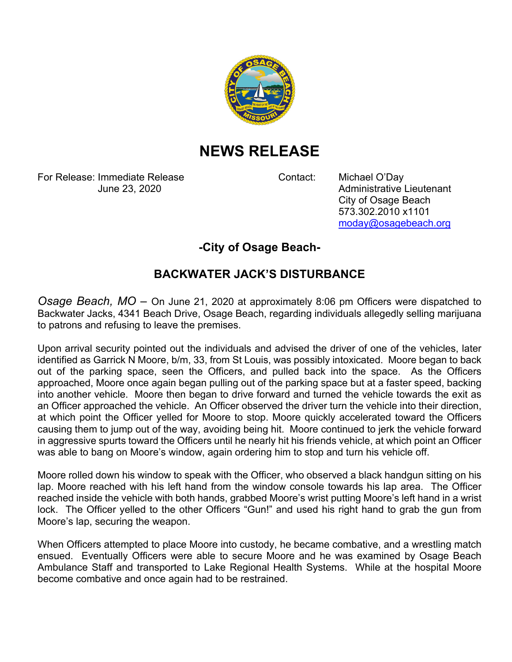

## **NEWS RELEASE**

For Release: Immediate Release Contact: Michael O'Day

June 23, 2020 **Administrative Lieutenant**  City of Osage Beach 573.302.2010 x1101 moday@osagebeach.org

## **-City of Osage Beach-**

## **BACKWATER JACK'S DISTURBANCE**

*Osage Beach, MO* – On June 21, 2020 at approximately 8:06 pm Officers were dispatched to Backwater Jacks, 4341 Beach Drive, Osage Beach, regarding individuals allegedly selling marijuana to patrons and refusing to leave the premises.

Upon arrival security pointed out the individuals and advised the driver of one of the vehicles, later identified as Garrick N Moore, b/m, 33, from St Louis, was possibly intoxicated. Moore began to back out of the parking space, seen the Officers, and pulled back into the space. As the Officers approached, Moore once again began pulling out of the parking space but at a faster speed, backing into another vehicle. Moore then began to drive forward and turned the vehicle towards the exit as an Officer approached the vehicle. An Officer observed the driver turn the vehicle into their direction, at which point the Officer yelled for Moore to stop. Moore quickly accelerated toward the Officers causing them to jump out of the way, avoiding being hit. Moore continued to jerk the vehicle forward in aggressive spurts toward the Officers until he nearly hit his friends vehicle, at which point an Officer was able to bang on Moore's window, again ordering him to stop and turn his vehicle off.

Moore rolled down his window to speak with the Officer, who observed a black handgun sitting on his lap. Moore reached with his left hand from the window console towards his lap area. The Officer reached inside the vehicle with both hands, grabbed Moore's wrist putting Moore's left hand in a wrist lock. The Officer yelled to the other Officers "Gun!" and used his right hand to grab the gun from Moore's lap, securing the weapon.

When Officers attempted to place Moore into custody, he became combative, and a wrestling match ensued. Eventually Officers were able to secure Moore and he was examined by Osage Beach Ambulance Staff and transported to Lake Regional Health Systems. While at the hospital Moore become combative and once again had to be restrained.